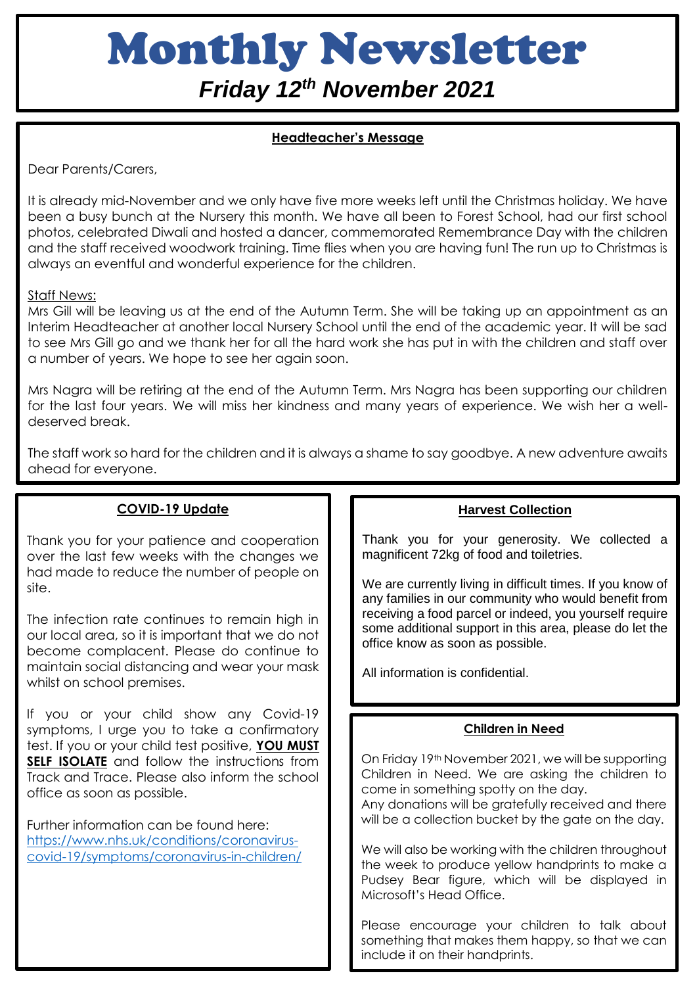# Monthly Newsletter

*Friday 12th November 2021*

# **Headteacher's Message**

Dear Parents/Carers,

It is already mid-November and we only have five more weeks left until the Christmas holiday. We have been a busy bunch at the Nursery this month. We have all been to Forest School, had our first school photos, celebrated Diwali and hosted a dancer, commemorated Remembrance Day with the children and the staff received woodwork training. Time flies when you are having fun! The run up to Christmas is always an eventful and wonderful experience for the children.

## Staff News:

Mrs Gill will be leaving us at the end of the Autumn Term. She will be taking up an appointment as an Interim Headteacher at another local Nursery School until the end of the academic year. It will be sad to see Mrs Gill go and we thank her for all the hard work she has put in with the children and staff over a number of years. We hope to see her again soon.

Mrs Nagra will be retiring at the end of the Autumn Term. Mrs Nagra has been supporting our children for the last four years. We will miss her kindness and many years of experience. We wish her a welldeserved break.

The staff work so hard for the children and it is always a shame to say goodbye. A new adventure awaits ahead for everyone.

#### **COVID-19 Update**

Thank you for your patience and cooperation over the last few weeks with the changes we had made to reduce the number of people on site.

The infection rate continues to remain high in our local area, so it is important that we do not become complacent. Please do continue to maintain social distancing and wear your mask whilst on school premises.

If you or your child show any Covid-19 symptoms, I urge you to take a confirmatory test. If you or your child test positive, **YOU MUST SELF ISOLATE** and follow the instructions from Track and Trace. Please also inform the school office as soon as possible.

Further information can be found here: [https://www.nhs.uk/conditions/coronavirus](https://www.nhs.uk/conditions/coronavirus-covid-19/symptoms/coronavirus-in-children/)[covid-19/symptoms/coronavirus-in-children/](https://www.nhs.uk/conditions/coronavirus-covid-19/symptoms/coronavirus-in-children/)

#### **Harvest Collection**

Thank you for your generosity. We collected a magnificent 72kg of food and toiletries.

We are currently living in difficult times. If you know of any families in our community who would benefit from receiving a food parcel or indeed, you yourself require some additional support in this area, please do let the office know as soon as possible.

All information is confidential.

## **Children in Need**

On Friday 19th November 2021, we will be supporting Children in Need. We are asking the children to come in something spotty on the day. Any donations will be gratefully received and there will be a collection bucket by the gate on the day.

We will also be working with the children throughout the week to produce yellow handprints to make a Pudsey Bear figure, which will be displayed in Microsoft's Head Office.

Please encourage your children to talk about something that makes them happy, so that we can include it on their handprints.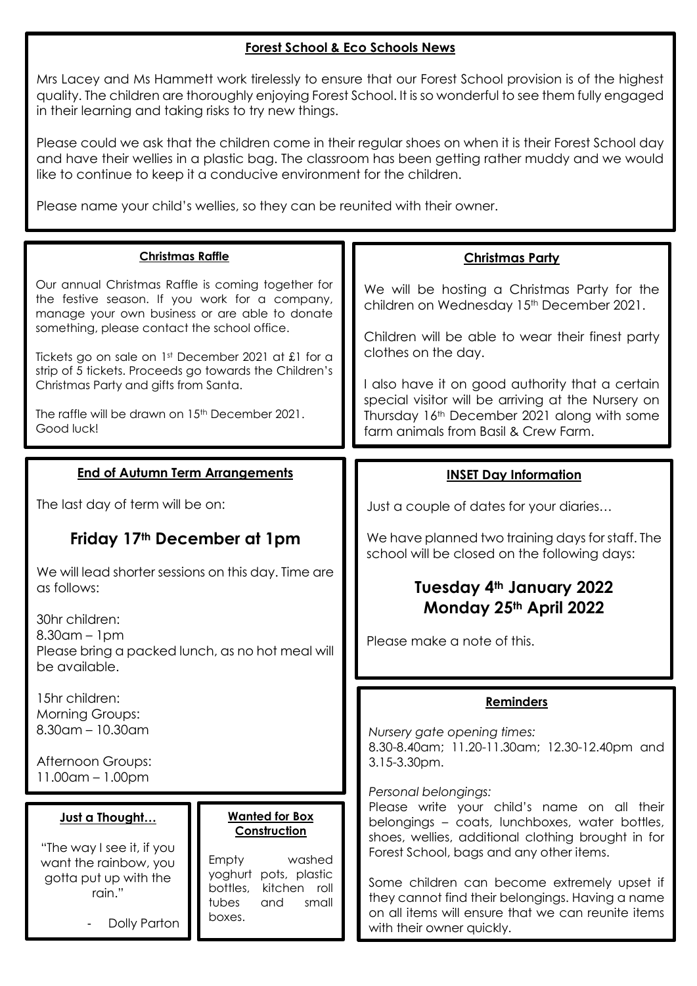## **Forest School & Eco Schools News**

Mrs Lacey and Ms Hammett work tirelessly to ensure that our Forest School provision is of the highest quality. The children are thoroughly enjoying Forest School. It is so wonderful to see them fully engaged in their learning and taking risks to try new things.

Please could we ask that the children come in their regular shoes on when it is their Forest School day and have their wellies in a plastic bag. The classroom has been getting rather muddy and we would like to continue to keep it a conducive environment for the children.

Please name your child's wellies, so they can be reunited with their owner.

| <b>Christmas Raffle</b>                                                                                                                                                                                                                                                                                                                                                                                                                       |                                                                                                                                                                                                                                                                                                                                                                                                               |
|-----------------------------------------------------------------------------------------------------------------------------------------------------------------------------------------------------------------------------------------------------------------------------------------------------------------------------------------------------------------------------------------------------------------------------------------------|---------------------------------------------------------------------------------------------------------------------------------------------------------------------------------------------------------------------------------------------------------------------------------------------------------------------------------------------------------------------------------------------------------------|
| Our annual Christmas Raffle is coming together for<br>the festive season. If you work for a company,<br>manage your own business or are able to donate<br>something, please contact the school office.<br>Tickets go on sale on 1st December 2021 at £1 for a<br>strip of 5 tickets. Proceeds go towards the Children's<br>Christmas Party and gifts from Santa.<br>The raffle will be drawn on 15 <sup>th</sup> December 2021.<br>Good luck! | <b>Christmas Party</b><br>We will be hosting a Christmas Party for the<br>children on Wednesday 15th December 2021.<br>Children will be able to wear their finest party<br>clothes on the day.<br>I also have it on good authority that a certain<br>special visitor will be arriving at the Nursery on<br>Thursday 16th December 2021 along with some<br>farm animals from Basil & Crew Farm.                |
| <b>End of Autumn Term Arrangements</b>                                                                                                                                                                                                                                                                                                                                                                                                        | <b>INSET Day Information</b>                                                                                                                                                                                                                                                                                                                                                                                  |
| The last day of term will be on:                                                                                                                                                                                                                                                                                                                                                                                                              | Just a couple of dates for your diaries                                                                                                                                                                                                                                                                                                                                                                       |
| Friday 17th December at 1pm                                                                                                                                                                                                                                                                                                                                                                                                                   | We have planned two training days for staff. The<br>school will be closed on the following days:                                                                                                                                                                                                                                                                                                              |
| We will lead shorter sessions on this day. Time are<br>as follows:                                                                                                                                                                                                                                                                                                                                                                            | Tuesday 4th January 2022                                                                                                                                                                                                                                                                                                                                                                                      |
| 30hr children:<br>$8.30$ am – 1pm<br>Please bring a packed lunch, as no hot meal will<br>be available.                                                                                                                                                                                                                                                                                                                                        | Monday 25th April 2022<br>Please make a note of this.                                                                                                                                                                                                                                                                                                                                                         |
| 15hr children:<br><b>Morning Groups:</b><br>$8.30$ am – 10.30am                                                                                                                                                                                                                                                                                                                                                                               | <b>Reminders</b><br>Nursery gate opening times:                                                                                                                                                                                                                                                                                                                                                               |
| Afternoon Groups:<br>$11.00$ am – $1.00$ pm                                                                                                                                                                                                                                                                                                                                                                                                   | 8.30-8.40am; 11.20-11.30am; 12.30-12.40pm and<br>$3.15 - 3.30$ pm.                                                                                                                                                                                                                                                                                                                                            |
| <b>Wanted for Box</b><br>Just a Thought<br>Construction<br>"The way I see it, if you<br>washed<br>Empty<br>want the rainbow, you<br>yoghurt<br>pots, plastic<br>gotta put up with the<br>kitchen roll<br>bottles,<br>rain."<br>tubes<br>and<br>small<br>boxes.<br>Dolly Parton                                                                                                                                                                | Personal belongings:<br>Please write your child's name on all their<br>belongings - coats, lunchboxes, water bottles,<br>shoes, wellies, additional clothing brought in for<br>Forest School, bags and any other items.<br>Some children can become extremely upset if<br>they cannot find their belongings. Having a name<br>on all items will ensure that we can reunite items<br>with their owner quickly. |